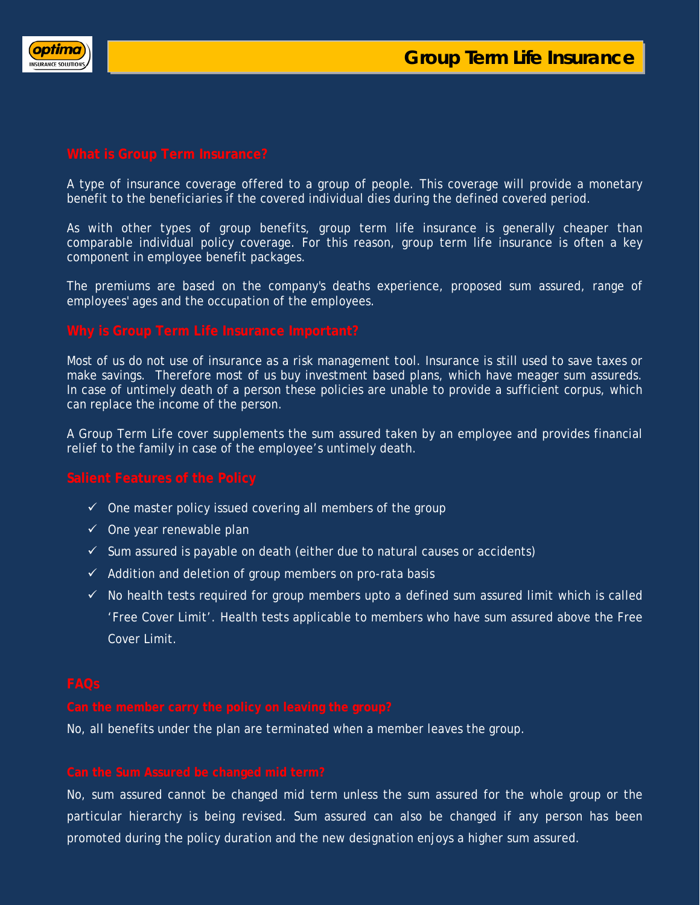

A type of insurance coverage offered to a group of people. This coverage will provide a monetary benefit to the beneficiaries if the covered individual dies during the defined covered period.

As with other types of group benefits, group term life insurance is generally cheaper than comparable individual policy coverage. For this reason, group term life insurance is often a key component in employee benefit packages.

The premiums are based on the company's deaths experience, proposed sum assured, range of employees' ages and the occupation of the employees.

Most of us do not use of insurance as a risk management tool. Insurance is still used to save taxes or make savings. Therefore most of us buy investment based plans, which have meager sum assureds. In case of untimely death of a person these policies are unable to provide a sufficient corpus, which can replace the income of the person.

A Group Term Life cover supplements the sum assured taken by an employee and provides financial relief to the family in case of the employee's untimely death.

- $\checkmark$  One master policy issued covering all members of the group
- $\checkmark$  One year renewable plan
- $\checkmark$  Sum assured is payable on death (either due to natural causes or accidents)
- $\checkmark$  Addition and deletion of group members on pro-rata basis
- $\checkmark$  No health tests required for group members upto a defined sum assured limit which is called 'Free Cover Limit'. Health tests applicable to members who have sum assured above the Free Cover Limit.

No, all benefits under the plan are terminated when a member leaves the group.

No, sum assured cannot be changed mid term unless the sum assured for the whole group or the particular hierarchy is being revised. Sum assured can also be changed if any person has been promoted during the policy duration and the new designation enjoys a higher sum assured.